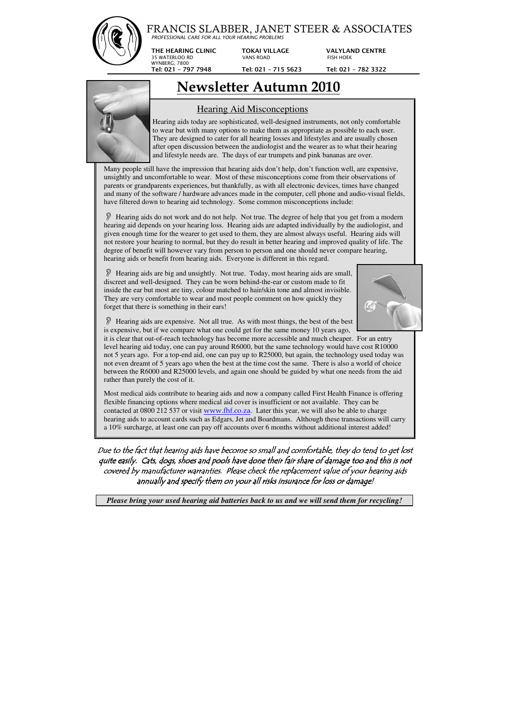## FRANCIS SLABBER, JANET STEER & ASSOCIATES

*PROFESSIONAL CARE FOR ALL YOUR HEARING PROBLEMS*

**THE HEARING CLINIC TOKAI VILLAGE VALYLAND CENTRE** 

35 WATERLOO RD VANS ROAD FISH HOEK WYNBERG, 7800

 **Tel: 021 – 797 7948 Tel: 021 – 715 5623 Tel: 021 – 782 3322**

## **Newsletter Autumn 2010**



## Hearing Aid Misconceptions

 Hearing aids today are sophisticated, well-designed instruments, not only comfortable to wear but with many options to make them as appropriate as possible to each user. They are designed to cater for all hearing losses and lifestyles and are usually chosen after open discussion between the audiologist and the wearer as to what their hearing and lifestyle needs are. The days of ear trumpets and pink bananas are over.

Many people still have the impression that hearing aids don't help, don't function well, are expensive, unsightly and uncomfortable to wear. Most of these misconceptions come from their observations of parents or grandparents experiences, but thankfully, as with all electronic devices, times have changed and many of the software / hardware advances made in the computer, cell phone and audio-visual fields, have filtered down to hearing aid technology. Some common misconceptions include:

 Hearing aids do not work and do not help. Not true. The degree of help that you get from a modern hearing aid depends on your hearing loss. Hearing aids are adapted individually by the audiologist, and given enough time for the wearer to get used to them, they are almost always useful. Hearing aids will not restore your hearing to normal, but they do result in better hearing and improved quality of life. The degree of benefit will however vary from person to person and one should never compare hearing, hearing aids or benefit from hearing aids. Everyone is different in this regard.

Due to the fact that hearing aids have become so small and comfortable, they do tend to get lost quite easily. Cats, dogs, shoes and pools have done their fair share of damage too and this is not covered by manufacturer warranties. Please check the replacement value of your hearing aids annually and specify them on your all risks insurance for loss or damage!

 Hearing aids are big and unsightly. Not true. Today, most hearing aids are small, discreet and well-designed. They can be worn behind-the-ear or custom made to fit inside the ear but most are tiny, colour matched to hair/skin tone and almost invisible. They are very comfortable to wear and most people comment on how quickly they forget that there is something in their ears!



 Hearing aids are expensive. Not all true. As with most things, the best of the best is expensive, but if we compare what one could get for the same money 10 years ago,

it is clear that out-of-reach technology has become more accessible and much cheaper. For an entry level hearing aid today, one can pay around R6000, but the same technology would have cost R10000 not 5 years ago. For a top-end aid, one can pay up to R25000, but again, the technology used today was not even dreamt of 5 years ago when the best at the time cost the same. There is also a world of choice between the R6000 and R25000 levels, and again one should be guided by what one needs from the aid rather than purely the cost of it.

Most medical aids contribute to hearing aids and now a company called First Health Finance is offering flexible financing options where medical aid cover is insufficient or not available. They can be contacted at 0800 212 537 or visit www.fhf.co.za. Later this year, we will also be able to charge hearing aids to account cards such as Edgars, Jet and Boardmans. Although these transactions will carry a 10% surcharge, at least one can pay off accounts over 6 months without additional interest added!

*Please bring your used hearing aid batteries back to us and we will send them for recycling!*